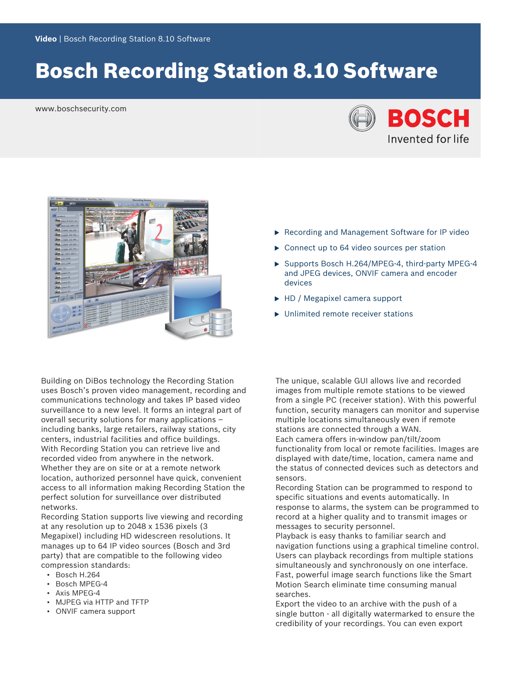# Bosch Recording Station 8.10 Software

www.boschsecurity.com





Building on DiBos technology the Recording Station uses Bosch's proven video management, recording and communications technology and takes IP based video surveillance to a new level. It forms an integral part of overall security solutions for many applications – including banks, large retailers, railway stations, city centers, industrial facilities and office buildings. With Recording Station you can retrieve live and recorded video from anywhere in the network. Whether they are on site or at a remote network location, authorized personnel have quick, convenient access to all information making Recording Station the perfect solution for surveillance over distributed networks.

Recording Station supports live viewing and recording at any resolution up to 2048 x 1536 pixels (3 Megapixel) including HD widescreen resolutions. It manages up to 64 IP video sources (Bosch and 3rd party) that are compatible to the following video compression standards:

- Bosch H.264
- Bosch MPEG-4
- Axis MPEG-4
- MJPEG via HTTP and TFTP
- ONVIF camera support
- $\triangleright$  Recording and Management Software for IP video
- $\triangleright$  Connect up to 64 video sources per station
- $\triangleright$  Supports Bosch H.264/MPEG-4, third-party MPEG-4 and JPEG devices, ONVIF camera and encoder devices
- $\blacktriangleright$  HD / Megapixel camera support
- $\blacktriangleright$  Unlimited remote receiver stations

The unique, scalable GUI allows live and recorded images from multiple remote stations to be viewed from a single PC (receiver station). With this powerful function, security managers can monitor and supervise multiple locations simultaneously even if remote stations are connected through a WAN. Each camera offers in-window pan/tilt/zoom functionality from local or remote facilities. Images are displayed with date/time, location, camera name and the status of connected devices such as detectors and sensors.

Recording Station can be programmed to respond to specific situations and events automatically. In response to alarms, the system can be programmed to record at a higher quality and to transmit images or messages to security personnel.

Playback is easy thanks to familiar search and navigation functions using a graphical timeline control. Users can playback recordings from multiple stations simultaneously and synchronously on one interface. Fast, powerful image search functions like the Smart Motion Search eliminate time consuming manual searches.

Export the video to an archive with the push of a single button - all digitally watermarked to ensure the credibility of your recordings. You can even export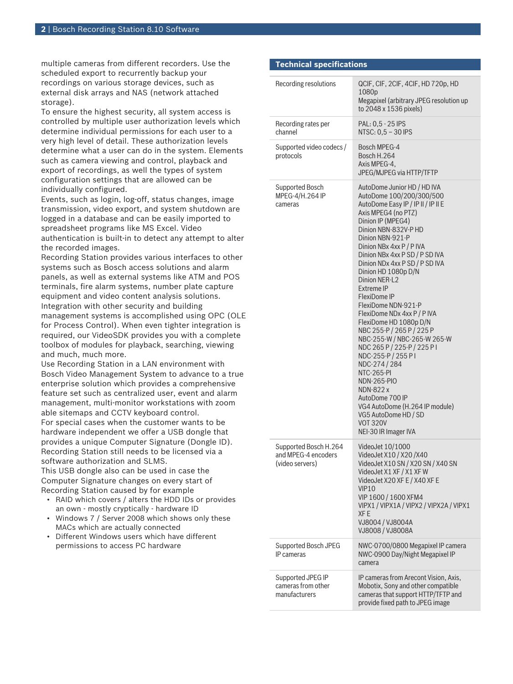multiple cameras from different recorders. Use the scheduled export to recurrently backup your recordings on various storage devices, such as external disk arrays and NAS (network attached storage).

To ensure the highest security, all system access is controlled by multiple user authorization levels which determine individual permissions for each user to a very high level of detail. These authorization levels determine what a user can do in the system. Elements such as camera viewing and control, playback and export of recordings, as well the types of system configuration settings that are allowed can be individually configured.

Events, such as login, log-off, status changes, image transmission, video export, and system shutdown are logged in a database and can be easily imported to spreadsheet programs like MS Excel. Video authentication is built-in to detect any attempt to alter the recorded images.

Recording Station provides various interfaces to other systems such as Bosch access solutions and alarm panels, as well as external systems like ATM and POS terminals, fire alarm systems, number plate capture equipment and video content analysis solutions. Integration with other security and building management systems is accomplished using OPC (OLE for Process Control). When even tighter integration is required, our VideoSDK provides you with a complete toolbox of modules for playback, searching, viewing and much, much more.

Use Recording Station in a LAN environment with Bosch Video Management System to advance to a true enterprise solution which provides a comprehensive feature set such as centralized user, event and alarm management, multi-monitor workstations with zoom able sitemaps and CCTV keyboard control. For special cases when the customer wants to be hardware independent we offer a USB dongle that provides a unique Computer Signature (Dongle ID). Recording Station still needs to be licensed via a software authorization and SLMS.

This USB dongle also can be used in case the Computer Signature changes on every start of Recording Station caused by for example

- RAID which covers / alters the HDD IDs or provides an own - mostly cryptically - hardware ID
- Windows 7 / Server 2008 which shows only these MACs which are actually connected
- Different Windows users which have different permissions to access PC hardware

# **Technical specifications**

| Recording resolutions                                           | QCIF, CIF, 2CIF, 4CIF, HD 720p, HD<br>1080p<br>Megapixel (arbitrary JPEG resolution up<br>to 2048 x 1536 pixels)                                                                                                                                                                                                                                                                                                                                                                                                                                                                                                                                                                                                                                              |
|-----------------------------------------------------------------|---------------------------------------------------------------------------------------------------------------------------------------------------------------------------------------------------------------------------------------------------------------------------------------------------------------------------------------------------------------------------------------------------------------------------------------------------------------------------------------------------------------------------------------------------------------------------------------------------------------------------------------------------------------------------------------------------------------------------------------------------------------|
| Recording rates per<br>channel                                  | PAL: 0,5 - 25 IPS<br>NTSC: 0,5 - 30 IPS                                                                                                                                                                                                                                                                                                                                                                                                                                                                                                                                                                                                                                                                                                                       |
| Supported video codecs /<br>protocols                           | Bosch MPEG-4<br>Bosch H.264<br>Axis MPEG-4,<br>JPEG/MJPEG via HTTP/TFTP                                                                                                                                                                                                                                                                                                                                                                                                                                                                                                                                                                                                                                                                                       |
| Supported Bosch<br>MPEG-4/H.264 IP<br>cameras                   | AutoDome Junior HD / HD IVA<br>AutoDome 100/200/300/500<br>AutoDome Easy IP / IP II / IP II E<br>Axis MPEG4 (no PTZ)<br>Dinion IP (MPEG4)<br>Dinion NBN-832V-P HD<br>Dinion NBN-921-P<br>Dinion NBx 4xx P / P IVA<br>Dinion NBx 4xx P SD / P SD IVA<br>Dinion NDx 4xx P SD / P SD IVA<br>Dinion HD 1080p D/N<br><b>Dinion NER-L2</b><br>Extreme IP<br>FlexiDome IP<br>FlexiDome NDN-921-P<br>FlexiDome NDx 4xx P / P IVA<br>FlexiDome HD 1080p D/N<br>NBC 255-P / 265 P / 225 P<br>NBC-255-W / NBC-265-W 265-W<br>NDC 265 P / 225-P / 225 P I<br>NDC-255-P / 255 PI<br>NDC-274 / 284<br>NTC-265-PI<br><b>NDN-265-PIO</b><br>NDN-822 x<br>AutoDome 700 IP<br>VG4 AutoDome (H.264 IP module)<br>VG5 AutoDome HD / SD<br><b>VOT 320V</b><br>NEI-30 IR Imager IVA |
| Supported Bosch H.264<br>and MPEG-4 encoders<br>(video servers) | VideoJet 10/1000<br>VideoJet X10 / X20 / X40<br>VideoJet X10 SN / X20 SN / X40 SN<br>VideoJet X1 XF / X1 XF W<br>VideoJet X20 XF E / X40 XF E<br><b>VIP10</b><br>VIP 1600 / 1600 XFM4<br>VIPX1 / VIPX1A / VIPX2 / VIPX2A / VIPX1<br>XF F<br>VJ8004 / VJ8004A<br>VJ8008 / VJ8008A                                                                                                                                                                                                                                                                                                                                                                                                                                                                              |
| Supported Bosch JPEG<br>IP cameras                              | NWC-0700/0800 Megapixel IP camera<br>NWC-0900 Day/Night Megapixel IP<br>camera                                                                                                                                                                                                                                                                                                                                                                                                                                                                                                                                                                                                                                                                                |
| Supported JPEG IP<br>cameras from other<br>manufacturers        | IP cameras from Arecont Vision, Axis,<br>Mobotix, Sony and other compatible<br>cameras that support HTTP/TFTP and<br>provide fixed path to JPEG image                                                                                                                                                                                                                                                                                                                                                                                                                                                                                                                                                                                                         |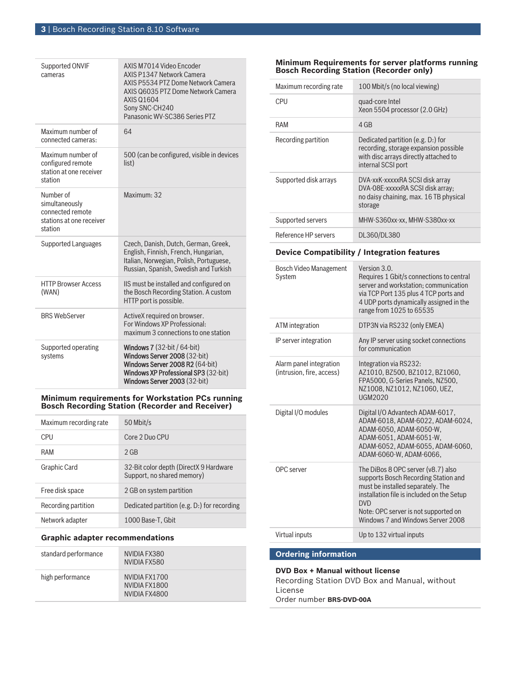| <b>Supported ONVIF</b><br>cameras                                                      | AXIS M7014 Video Encoder<br><b>AXIS P1347 Network Camera</b><br>AXIS P5534 PTZ Dome Network Camera<br>AXIS Q6035 PTZ Dome Network Camera<br><b>AXIS Q1604</b><br>Sony SNC-CH240<br>Panasonic WV-SC386 Series PTZ |
|----------------------------------------------------------------------------------------|------------------------------------------------------------------------------------------------------------------------------------------------------------------------------------------------------------------|
| Maximum number of<br>connected cameras:                                                | 64                                                                                                                                                                                                               |
| Maximum number of<br>configured remote<br>station at one receiver<br>station           | 500 (can be configured, visible in devices<br>list)                                                                                                                                                              |
| Number of<br>simultaneously<br>connected remote<br>stations at one receiver<br>station | Maximum: 32                                                                                                                                                                                                      |
| Supported Languages                                                                    | Czech, Danish, Dutch, German, Greek,<br>English, Finnish, French, Hungarian,<br>Italian, Norwegian, Polish, Portuguese,<br>Russian, Spanish, Swedish and Turkish                                                 |
| <b>HTTP Browser Access</b><br>(WAN)                                                    | IS must be installed and configured on<br>the Bosch Recording Station. A custom<br>HTTP port is possible.                                                                                                        |
| <b>BRS WebServer</b>                                                                   | ActiveX required on browser.<br>For Windows XP Professional:<br>maximum 3 connections to one station                                                                                                             |
| Supported operating<br>systems                                                         | <b>Windows 7</b> $(32-bit / 64-bit)$<br>Windows Server 2008 (32-bit)<br>Windows Server 2008 R2 (64-bit)<br>Windows XP Professional SP3 (32-bit)<br><b>Windows Server 2003 (32-bit)</b>                           |

#### **Minimum requirements for Workstation PCs running Bosch Recording Station (Recorder and Receiver)**

| Maximum recording rate | 50 Mbit/s                                                            |
|------------------------|----------------------------------------------------------------------|
| CPU                    | Core 2 Duo CPU                                                       |
| RAM                    | $2$ GB                                                               |
| Graphic Card           | 32-Bit color depth (DirectX 9 Hardware<br>Support, no shared memory) |
| Free disk space        | 2 GB on system partition                                             |
| Recording partition    | Dedicated partition (e.g. D.) for recording                          |
| Network adapter        | 1000 Base-T. Gbit                                                    |

# **Graphic adapter recommendations**

| standard performance | NVIDIA FX380<br>NVIDIA FX580                    |
|----------------------|-------------------------------------------------|
| high performance     | NVIDIA FX1700<br>NVIDIA FX1800<br>NVIDIA FX4800 |

#### **Minimum Requirements for server platforms running Bosch Recording Station (Recorder only)**

| Maximum recording rate                               | 100 Mbit/s (no local viewing)                                                                                                                                                                                                                            |  |
|------------------------------------------------------|----------------------------------------------------------------------------------------------------------------------------------------------------------------------------------------------------------------------------------------------------------|--|
| <b>CPU</b>                                           | quad-core Intel<br>Xeon 5504 processor (2.0 GHz)                                                                                                                                                                                                         |  |
| RAM                                                  | 4 GB                                                                                                                                                                                                                                                     |  |
| Recording partition                                  | Dedicated partition (e.g. D.) for<br>recording, storage expansion possible<br>with disc arrays directly attached to<br>internal SCSI port                                                                                                                |  |
| Supported disk arrays                                | DVA-xxK-xxxxxRA SCSI disk array<br>DVA-08E-xxxxxRA SCSI disk array;<br>no daisy chaining, max. 16 TB physical<br>storage                                                                                                                                 |  |
| Supported servers                                    | MHW-S360xx-xx, MHW-S380xx-xx                                                                                                                                                                                                                             |  |
| Reference HP servers                                 | DL360/DL380                                                                                                                                                                                                                                              |  |
| <b>Device Compatibility / Integration features</b>   |                                                                                                                                                                                                                                                          |  |
| <b>Bosch Video Management</b><br>System              | Version 3.0.<br>Requires 1 Gbit/s connections to central<br>server and workstation: communication<br>via TCP Port 135 plus 4 TCP ports and<br>4 UDP ports dynamically assigned in the<br>range from 1025 to 65535                                        |  |
| <b>ATM</b> integration                               | DTP3N via RS232 (only EMEA)                                                                                                                                                                                                                              |  |
| IP server integration                                | Any IP server using socket connections<br>for communication                                                                                                                                                                                              |  |
| Alarm panel integration<br>(intrusion, fire, access) | Integration via RS232:<br>AZ1010, BZ500, BZ1012, BZ1060,<br>FPA5000, G-Series Panels, NZ500,<br>NZ1008, NZ1012, NZ1060, UEZ,<br>UGM2020                                                                                                                  |  |
| Digital I/O modules                                  | Digital I/O Advantech ADAM-6017,<br>ADAM-6018, ADAM-6022, ADAM-6024,<br>ADAM-6050, ADAM-6050-W,<br>ADAM-6051, ADAM-6051-W,<br>ADAM-6052, ADAM-6055, ADAM-6060,<br>ADAM-6060-W, ADAM-6066,                                                                |  |
| OPC server                                           | The DiBos 8 OPC server (v8.7) also<br>supports Bosch Recording Station and<br>must be installed separately. The<br>installation file is included on the Setup<br><b>DVD</b><br>Note: OPC server is not supported on<br>Windows 7 and Windows Server 2008 |  |
| Virtual inputs                                       | Up to 132 virtual inputs                                                                                                                                                                                                                                 |  |
| <b>Ordering information</b>                          |                                                                                                                                                                                                                                                          |  |
|                                                      |                                                                                                                                                                                                                                                          |  |

**DVD Box + Manual without license** Recording Station DVD Box and Manual, without License Order number **BRS-DVD-00A**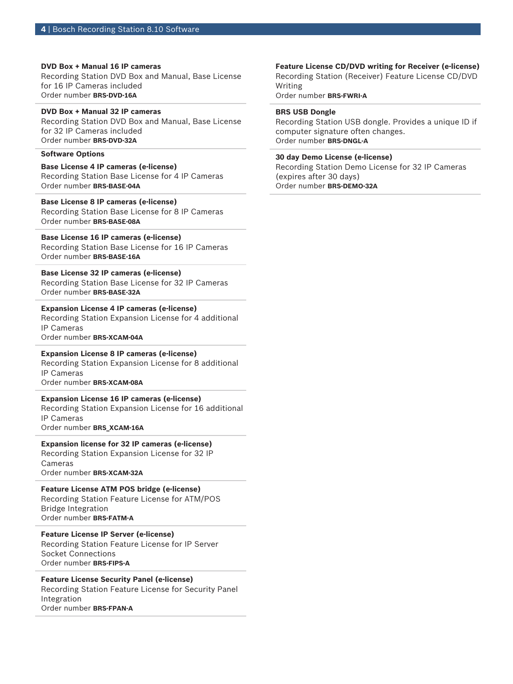### **DVD Box + Manual 16 IP cameras**

Recording Station DVD Box and Manual, Base License for 16 IP Cameras included Order number **BRS-DVD-16A**

# **DVD Box + Manual 32 IP cameras**

Recording Station DVD Box and Manual, Base License for 32 IP Cameras included Order number **BRS-DVD-32A**

#### **Software Options**

**Base License 4 IP cameras (e-license)** Recording Station Base License for 4 IP Cameras Order number **BRS-BASE-04A**

# **Base License 8 IP cameras (e-license)**

Recording Station Base License for 8 IP Cameras Order number **BRS-BASE-08A**

# **Base License 16 IP cameras (e-license)**

Recording Station Base License for 16 IP Cameras Order number **BRS-BASE-16A**

#### **Base License 32 IP cameras (e-license)**

Recording Station Base License for 32 IP Cameras Order number **BRS-BASE-32A**

#### **Expansion License 4 IP cameras (e-license)**

Recording Station Expansion License for 4 additional IP Cameras Order number **BRS-XCAM-04A**

#### **Expansion License 8 IP cameras (e-license)**

Recording Station Expansion License for 8 additional IP Cameras Order number **BRS-XCAM-08A**

#### **Expansion License 16 IP cameras (e-license)**

Recording Station Expansion License for 16 additional IP Cameras

Order number **BRS\_XCAM-16A**

### **Expansion license for 32 IP cameras (e-license)** Recording Station Expansion License for 32 IP Cameras Order number **BRS-XCAM-32A**

# **Feature License ATM POS bridge (e-license)**

Recording Station Feature License for ATM/POS Bridge Integration Order number **BRS-FATM-A**

# **Feature License IP Server (e-license)**

Recording Station Feature License for IP Server Socket Connections Order number **BRS-FIPS-A**

# **Feature License Security Panel (e-license)**

Recording Station Feature License for Security Panel Integration Order number **BRS-FPAN-A**

# **Feature License CD/DVD writing for Receiver (e-license)**

Recording Station (Receiver) Feature License CD/DVD Writing

Order number **BRS-FWRI-A**

### **BRS USB Dongle**

Recording Station USB dongle. Provides a unique ID if computer signature often changes. Order number **BRS-DNGL-A**

### **30 day Demo License (e-license)**

Recording Station Demo License for 32 IP Cameras (expires after 30 days) Order number **BRS-DEMO-32A**